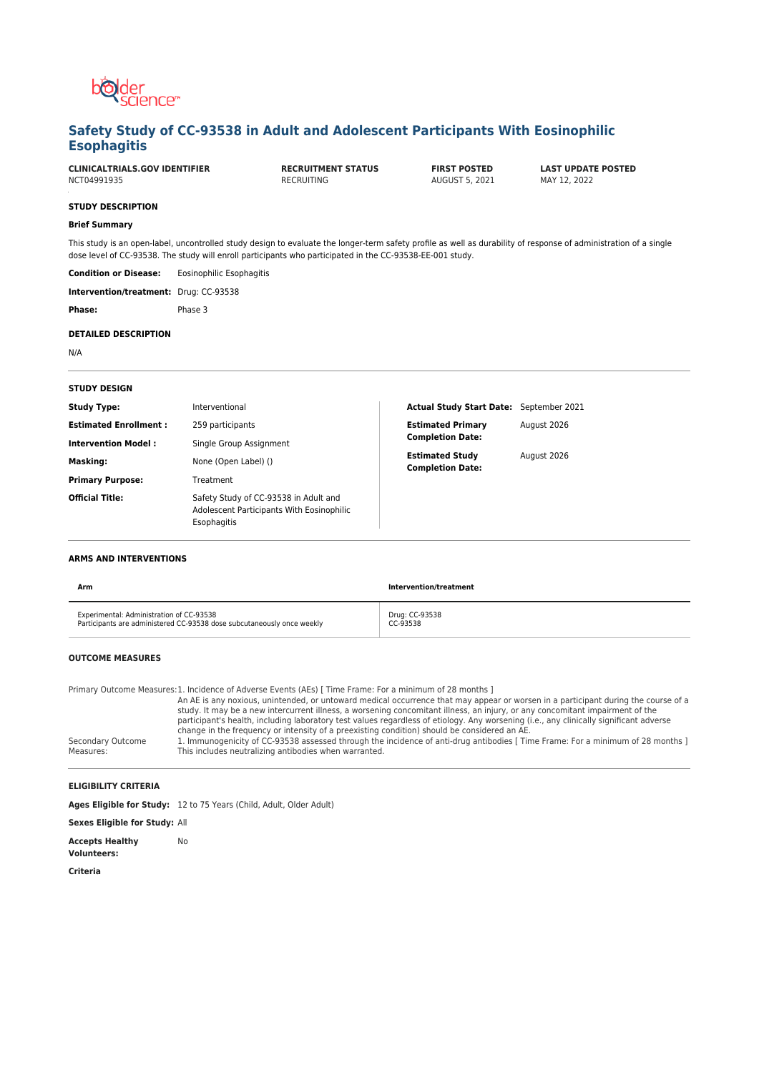

# **Safety Study of CC-93538 in Adult and Adolescent Participants With Eosinophilic Esophagitis**

| <b>CLINICALTRIALS.GOV IDENTIFIER</b><br>NCT04991935 |                          | <b>RECRUITMENT STATUS</b><br>RECRUITING                                                                                                                                                                                                                                        | <b>FIRST POSTED</b><br>AUGUST 5, 2021 | <b>LAST UPDATE POSTED</b><br>MAY 12, 2022 |
|-----------------------------------------------------|--------------------------|--------------------------------------------------------------------------------------------------------------------------------------------------------------------------------------------------------------------------------------------------------------------------------|---------------------------------------|-------------------------------------------|
| <b>STUDY DESCRIPTION</b>                            |                          |                                                                                                                                                                                                                                                                                |                                       |                                           |
| <b>Brief Summary</b>                                |                          |                                                                                                                                                                                                                                                                                |                                       |                                           |
|                                                     |                          | This study is an open-label, uncontrolled study design to evaluate the longer-term safety profile as well as durability of response of administration of a single<br>dose level of CC-93538. The study will enroll participants who participated in the CC-93538-EE-001 study. |                                       |                                           |
| <b>Condition or Disease:</b>                        | Eosinophilic Esophagitis |                                                                                                                                                                                                                                                                                |                                       |                                           |
| Intervention/treatment: Drug: CC-93538              |                          |                                                                                                                                                                                                                                                                                |                                       |                                           |
| Phase:                                              | Phase 3                  |                                                                                                                                                                                                                                                                                |                                       |                                           |
| <b>DETAILED DESCRIPTION</b>                         |                          |                                                                                                                                                                                                                                                                                |                                       |                                           |
| N/A                                                 |                          |                                                                                                                                                                                                                                                                                |                                       |                                           |
|                                                     |                          |                                                                                                                                                                                                                                                                                |                                       |                                           |
| <b>STUDY DESIGN</b>                                 |                          |                                                                                                                                                                                                                                                                                |                                       |                                           |

| <b>Study Type:</b>           | Interventional                                                                                    | Actual Study Start Date: September 2021           |             |
|------------------------------|---------------------------------------------------------------------------------------------------|---------------------------------------------------|-------------|
| <b>Estimated Enrollment:</b> | 259 participants                                                                                  | <b>Estimated Primary</b>                          | August 2026 |
| <b>Intervention Model:</b>   | Single Group Assignment                                                                           | <b>Completion Date:</b>                           |             |
| Masking:                     | None (Open Label) ()                                                                              | <b>Estimated Study</b><br><b>Completion Date:</b> | August 2026 |
| <b>Primary Purpose:</b>      | Treatment                                                                                         |                                                   |             |
| <b>Official Title:</b>       | Safety Study of CC-93538 in Adult and<br>Adolescent Participants With Eosinophilic<br>Esophagitis |                                                   |             |

### **ARMS AND INTERVENTIONS**

| Arm                                                                    | Intervention/treatment |
|------------------------------------------------------------------------|------------------------|
| Experimental: Administration of CC-93538                               | Drug: CC-93538         |
| Participants are administered CC-93538 dose subcutaneously once weekly | CC-93538               |

### **OUTCOME MEASURES**

Primary Outcome Measures: 1. Incidence of Adverse Events (AEs) [ Time Frame: For a minimum of 28 months ]

|                                | An AE is any noxious, unintended, or untoward medical occurrence that may appear or worsen in a participant during the course of a                                                       |
|--------------------------------|------------------------------------------------------------------------------------------------------------------------------------------------------------------------------------------|
|                                | study. It may be a new intercurrent illness, a worsening concomitant illness, an injury, or any concomitant impairment of the                                                            |
|                                | participant's health, including laboratory test values regardless of etiology. Any worsening (i.e., any clinically significant adverse                                                   |
|                                | change in the frequency or intensity of a preexisting condition) should be considered an AE.                                                                                             |
| Secondary Outcome<br>Measures: | 1. Immunogenicity of CC-93538 assessed through the incidence of anti-drug antibodies [ Time Frame: For a minimum of 28 months ]<br>This includes neutralizing antibodies when warranted. |

## **ELIGIBILITY CRITERIA**

|                                              | Ages Eligible for Study: 12 to 75 Years (Child, Adult, Older Adult) |
|----------------------------------------------|---------------------------------------------------------------------|
| <b>Sexes Eligible for Study: All</b>         |                                                                     |
| <b>Accepts Healthy</b><br><b>Volunteers:</b> | No.                                                                 |

**Criteria**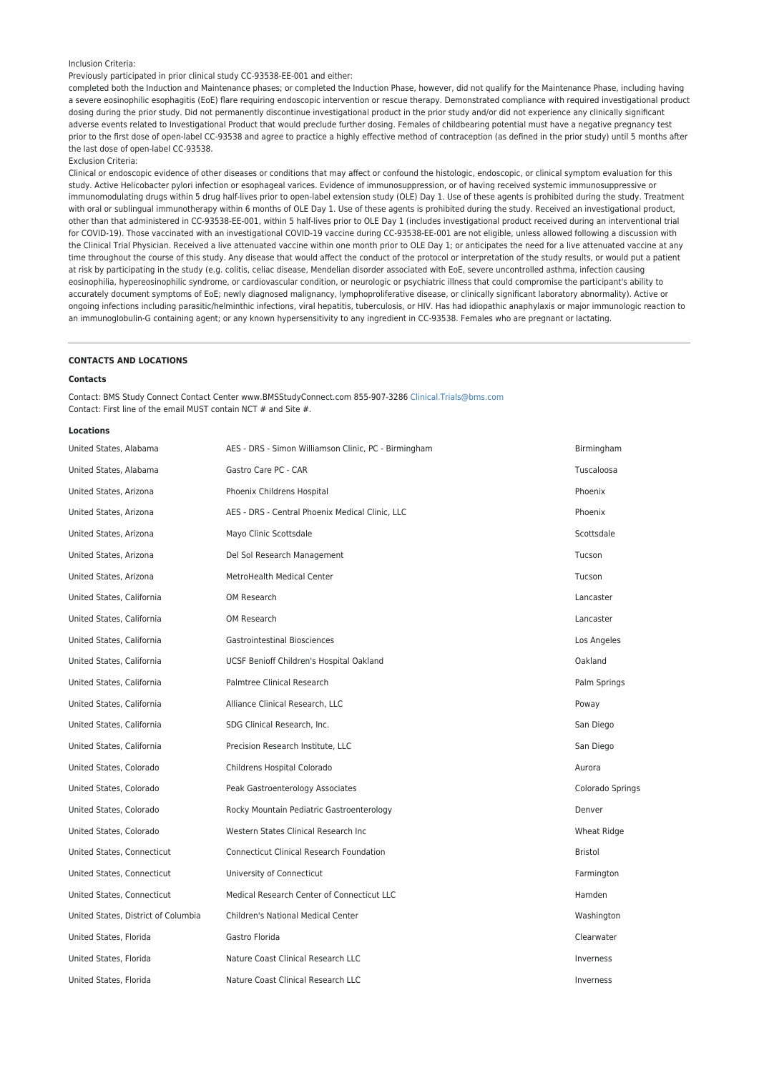#### Inclusion Criteria:

### Previously participated in prior clinical study CC-93538-EE-001 and either:

completed both the Induction and Maintenance phases; or completed the Induction Phase, however, did not qualify for the Maintenance Phase, including having a severe eosinophilic esophagitis (EoE) flare requiring endoscopic intervention or rescue therapy. Demonstrated compliance with required investigational product dosing during the prior study. Did not permanently discontinue investigational product in the prior study and/or did not experience any clinically significant adverse events related to Investigational Product that would preclude further dosing. Females of childbearing potential must have a negative pregnancy test prior to the first dose of open-label CC-93538 and agree to practice a highly effective method of contraception (as defined in the prior study) until 5 months after the last dose of open-label CC-93538.

#### Exclusion Criteria:

Clinical or endoscopic evidence of other diseases or conditions that may affect or confound the histologic, endoscopic, or clinical symptom evaluation for this study. Active Helicobacter pylori infection or esophageal varices. Evidence of immunosuppression, or of having received systemic immunosuppressive or immunomodulating drugs within 5 drug half-lives prior to open-label extension study (OLE) Day 1. Use of these agents is prohibited during the study. Treatment with oral or sublingual immunotherapy within 6 months of OLE Day 1. Use of these agents is prohibited during the study. Received an investigational product, other than that administered in CC-93538-EE-001, within 5 half-lives prior to OLE Day 1 (includes investigational product received during an interventional trial for COVID-19). Those vaccinated with an investigational COVID-19 vaccine during CC-93538-EE-001 are not eligible, unless allowed following a discussion with the Clinical Trial Physician. Received a live attenuated vaccine within one month prior to OLE Day 1; or anticipates the need for a live attenuated vaccine at any time throughout the course of this study. Any disease that would affect the conduct of the protocol or interpretation of the study results, or would put a patient at risk by participating in the study (e.g. colitis, celiac disease, Mendelian disorder associated with EoE, severe uncontrolled asthma, infection causing eosinophilia, hypereosinophilic syndrome, or cardiovascular condition, or neurologic or psychiatric illness that could compromise the participant's ability to accurately document symptoms of EoE; newly diagnosed malignancy, lymphoproliferative disease, or clinically significant laboratory abnormality). Active or ongoing infections including parasitic/helminthic infections, viral hepatitis, tuberculosis, or HIV. Has had idiopathic anaphylaxis or major immunologic reaction to an immunoglobulin-G containing agent; or any known hypersensitivity to any ingredient in CC-93538. Females who are pregnant or lactating.

#### **CONTACTS AND LOCATIONS**

#### **Contacts**

Contact: BMS Study Connect Contact Center www.BMSStudyConnect.com 855-907-3286 [Clinical.Trials@bms.com](mailto:Clinical.Trials@bms.com) Contact: First line of the email MUST contain NCT # and Site #.

#### **Locations**

| United States, Alabama              | AES - DRS - Simon Williamson Clinic, PC - Birmingham | Birmingham       |
|-------------------------------------|------------------------------------------------------|------------------|
| United States, Alabama              | Gastro Care PC - CAR                                 | Tuscaloosa       |
| United States, Arizona              | Phoenix Childrens Hospital                           | Phoenix          |
| United States, Arizona              | AES - DRS - Central Phoenix Medical Clinic, LLC      | Phoenix          |
| United States, Arizona              | Mayo Clinic Scottsdale                               | Scottsdale       |
| United States, Arizona              | Del Sol Research Management                          | Tucson           |
| United States, Arizona              | MetroHealth Medical Center                           | Tucson           |
| United States, California           | OM Research                                          | Lancaster        |
| United States, California           | OM Research                                          | Lancaster        |
| United States, California           | <b>Gastrointestinal Biosciences</b>                  | Los Angeles      |
| United States, California           | UCSF Benioff Children's Hospital Oakland             | Oakland          |
| United States, California           | Palmtree Clinical Research                           | Palm Springs     |
| United States, California           | Alliance Clinical Research, LLC                      | Poway            |
| United States, California           | SDG Clinical Research, Inc.                          | San Diego        |
| United States, California           | Precision Research Institute, LLC                    | San Diego        |
| United States, Colorado             | Childrens Hospital Colorado                          | Aurora           |
| United States, Colorado             | Peak Gastroenterology Associates                     | Colorado Springs |
| United States, Colorado             | Rocky Mountain Pediatric Gastroenterology            | Denver           |
| United States, Colorado             | Western States Clinical Research Inc                 | Wheat Ridge      |
| United States, Connecticut          | <b>Connecticut Clinical Research Foundation</b>      | <b>Bristol</b>   |
| United States, Connecticut          | University of Connecticut                            | Farmington       |
| United States, Connecticut          | Medical Research Center of Connecticut LLC           | Hamden           |
| United States, District of Columbia | <b>Children's National Medical Center</b>            | Washington       |
| United States, Florida              | Gastro Florida                                       | Clearwater       |
| United States, Florida              | Nature Coast Clinical Research LLC                   | Inverness        |
| United States, Florida              | Nature Coast Clinical Research LLC                   | Inverness        |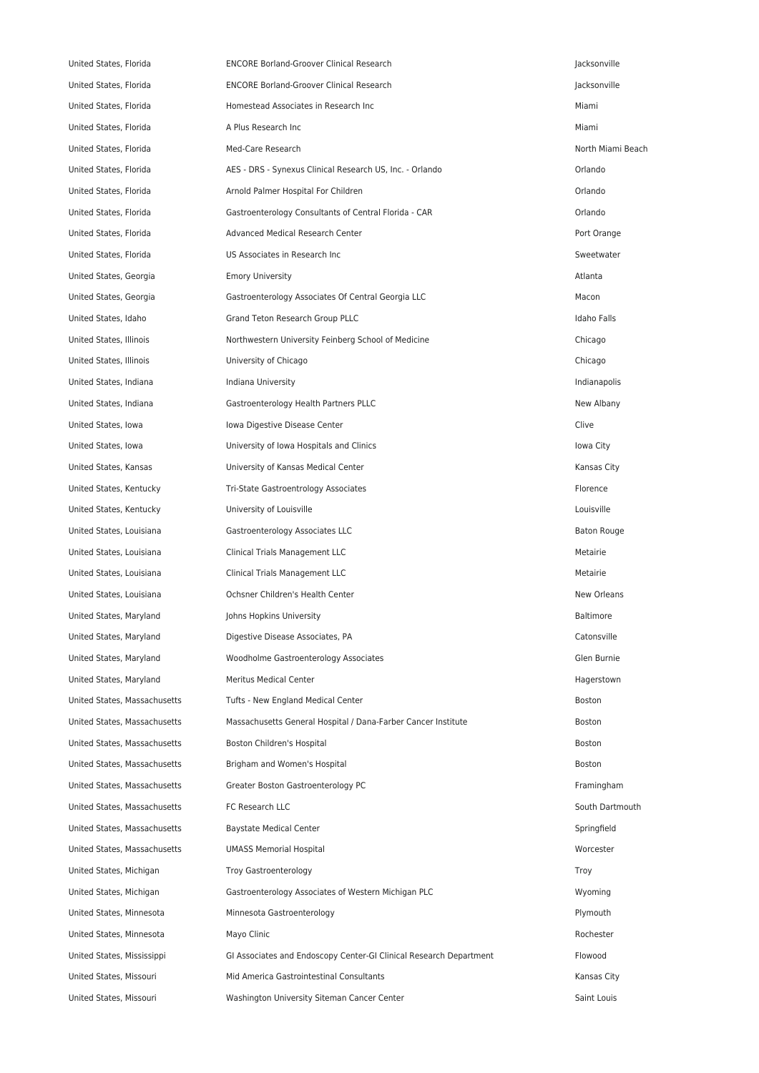United States, Florida ENCORE Borland-Groover Clinical Research Jacksonville United States, Florida ENCORE Borland-Groover Clinical Research Jacksonville United States, Florida Homestead Associates in Research Inc Miami United States, Florida **A** Plus Research Inc **A** A Plus Research Inc **Miami** United States, Florida **Med-Care Research North Miami Beach** North Miami Beach United States, Florida **AES - DRS - Synexus Clinical Research US**, Inc. - Orlando **Clinical Research US**, Inc. - Orlando United States, Florida Arnold Palmer Hospital For Children Orlando United States, Florida Gastroenterology Consultants of Central Florida - CAR Orlando United States, Florida **Advanced Medical Research Center** Port Orange Port Orange Port Orange United States, Florida **Supervation COS** Associates in Research Inc Sweetwater and Sweetwater and Sweetwater United States, Georgia **Emory University Emory University** Atlanta **Atlanta** Atlanta Atlanta Atlanta Atlanta United States, Georgia Gastroenterology Associates Of Central Georgia LLC Macon United States, Idaho Grand Teton Research Group PLLC and Teton Teton Research Group PLLC United States, Illinois **Northwestern University Feinberg School of Medicine** Chicago Chicago United States, Illinois **States** University of Chicago Chicago Chicago Chicago Chicago Chicago Chicago Chicago United States, Indiana **Indiana Indiana University Indianapolis** Indianapolis **Indianapolis** United States, Indiana **Gastroenterology Health Partners PLLC** New Albany United States, Iowa Clive Clive Iowa Digestive Disease Center Clive Clive Clive Clive Clive United States, Iowa **Iowa City Communisty of Iowa Hospitals and Clinics** Interventional City Iowa City United States, Kansas **Municipal Center Containers** University of Kansas Medical Center **Kansas City** Kansas City United States, Kentucky Tri-State Gastroentrology Associates Florence United States, Kentucky University of Louisville Louisville United States, Louisiana Gastroenterology Associates LLC Baton Rouge United States, Louisiana **Clinical Trials Management LLC** and the state of the Metairie United States, Louisiana **Clinical Trials Management LLC** Metairie Metairie United States, Louisiana **States Community Community** Ochsner Children's Health Center New Orleans New Orleans United States, Maryland States, and Johns Hopkins University Baltimore Baltimore Baltimore United States, Maryland **Digestive Disease Associates, PA** Catonsville United States, Maryland **Moodholme Gastroenterology Associates** Glen Burnie General Associates Glen Burnie United States, Maryland Meritus Medical Center Meritus Medical Center Hagerstown United States, Massachusetts Tufts - New England Medical Center Boston Boston Boston United States, Massachusetts Massachusetts General Hospital / Dana-Farber Cancer Institute Boston Boston United States, Massachusetts **Boston Children's Hospital** Boston Boston Boston Boston Boston Boston Boston Boston United States, Massachusetts **Brigham and Women's Hospital Boston** Boston Boston United States, Massachusetts Greater Boston Gastroenterology PC Framingham United States, Massachusetts **FC Research LLC** South Dartmouth Communisty Countries and South Dartmouth Dartmouth United States, Massachusetts **Baystate Medical Center** Springfield Springfield United States, Massachusetts UMASS Memorial Hospital Worcester United States, Michigan Troy Gastroenterology **Troy Gastroenterology** Troy Gastroenterology United States, Michigan Gastroenterology Associates of Western Michigan PLC Wyoming United States, Minnesota **Minnesota Gastroenterology Plymouth** Plymouth United States, Minnesota **Mayo Clinic** Mayo Clinic Rochester **Rochester** Rochester Rochester United States, Mississippi GI Associates and Endoscopy Center-GI Clinical Research Department Flowood United States, Missouri **Mid America Gastrointestinal Consultants** Manus America Gastrointestinal Consultants Kansas City United States, Missouri **Washington University Siteman Cancer Center** Saint Louis Caint Louis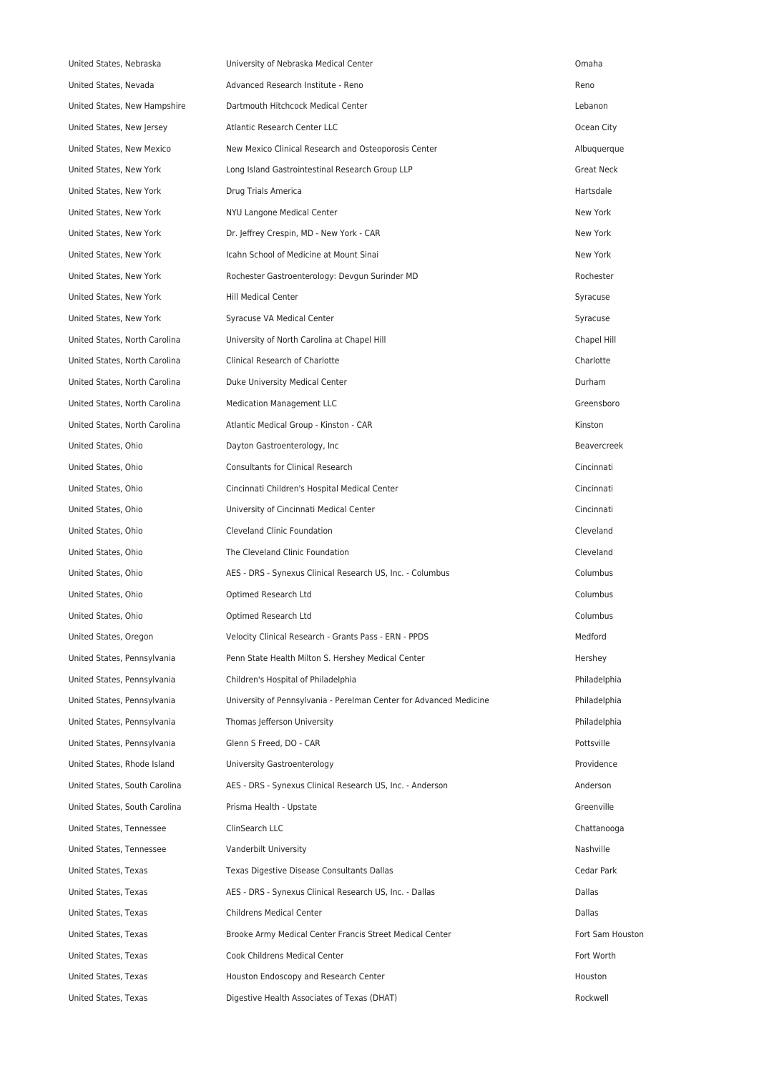| United States, Nebraska       | University of Nebraska Medical Center                              | Omaha              |
|-------------------------------|--------------------------------------------------------------------|--------------------|
| United States, Nevada         | Advanced Research Institute - Reno                                 | Reno               |
| United States, New Hampshire  | Dartmouth Hitchcock Medical Center                                 | Lebanon            |
| United States, New Jersey     | Atlantic Research Center LLC                                       | Ocean City         |
| United States, New Mexico     | New Mexico Clinical Research and Osteoporosis Center               | Albuquerque        |
| United States, New York       | Long Island Gastrointestinal Research Group LLP                    | <b>Great Neck</b>  |
| United States, New York       | Drug Trials America                                                | Hartsdale          |
| United States, New York       | NYU Langone Medical Center                                         | New York           |
| United States, New York       | Dr. Jeffrey Crespin, MD - New York - CAR                           | New York           |
| United States, New York       | Icahn School of Medicine at Mount Sinai                            | New York           |
| United States, New York       | Rochester Gastroenterology: Devgun Surinder MD                     | Rochester          |
| United States, New York       | <b>Hill Medical Center</b>                                         | Syracuse           |
| United States, New York       | Syracuse VA Medical Center                                         | Syracuse           |
| United States, North Carolina | University of North Carolina at Chapel Hill                        | Chapel Hill        |
| United States, North Carolina | Clinical Research of Charlotte                                     | Charlotte          |
| United States, North Carolina | Duke University Medical Center                                     | Durham             |
| United States, North Carolina | <b>Medication Management LLC</b>                                   | Greensboro         |
| United States, North Carolina | Atlantic Medical Group - Kinston - CAR                             | Kinston            |
| United States, Ohio           | Dayton Gastroenterology, Inc.                                      | <b>Beavercreek</b> |
| United States, Ohio           | <b>Consultants for Clinical Research</b>                           | Cincinnati         |
| United States, Ohio           | Cincinnati Children's Hospital Medical Center                      | Cincinnati         |
| United States, Ohio           | University of Cincinnati Medical Center                            | Cincinnati         |
| United States, Ohio           | Cleveland Clinic Foundation                                        | Cleveland          |
| United States, Ohio           | The Cleveland Clinic Foundation                                    | Cleveland          |
| United States, Ohio           | AES - DRS - Synexus Clinical Research US, Inc. - Columbus          | Columbus           |
| United States, Ohio           | Optimed Research Ltd                                               | Columbus           |
| United States, Ohio           | Optimed Research Ltd                                               | Columbus           |
| United States, Oregon         | Velocity Clinical Research - Grants Pass - ERN - PPDS              | Medford            |
| United States, Pennsylvania   | Penn State Health Milton S. Hershey Medical Center                 | Hershey            |
| United States, Pennsylvania   | Children's Hospital of Philadelphia                                | Philadelphia       |
| United States, Pennsylvania   | University of Pennsylvania - Perelman Center for Advanced Medicine | Philadelphia       |
| United States, Pennsylvania   | Thomas Jefferson University                                        | Philadelphia       |
| United States, Pennsylvania   | Glenn S Freed, DO - CAR                                            | Pottsville         |
| United States, Rhode Island   | University Gastroenterology                                        | Providence         |
| United States, South Carolina | AES - DRS - Synexus Clinical Research US, Inc. - Anderson          | Anderson           |
| United States, South Carolina | Prisma Health - Upstate                                            | Greenville         |
| United States, Tennessee      | ClinSearch LLC                                                     | Chattanooga        |
| United States, Tennessee      | Vanderbilt University                                              | Nashville          |
| United States, Texas          | Texas Digestive Disease Consultants Dallas                         | Cedar Park         |
| United States, Texas          | AES - DRS - Synexus Clinical Research US, Inc. - Dallas            | Dallas             |
| United States, Texas          | Childrens Medical Center                                           | Dallas             |
| United States, Texas          | Brooke Army Medical Center Francis Street Medical Center           | Fort Sam Houstor   |
| United States, Texas          | Cook Childrens Medical Center                                      | Fort Worth         |
| United States, Texas          | Houston Endoscopy and Research Center                              | Houston            |
| United States, Texas          | Digestive Health Associates of Texas (DHAT)                        | Rockwell           |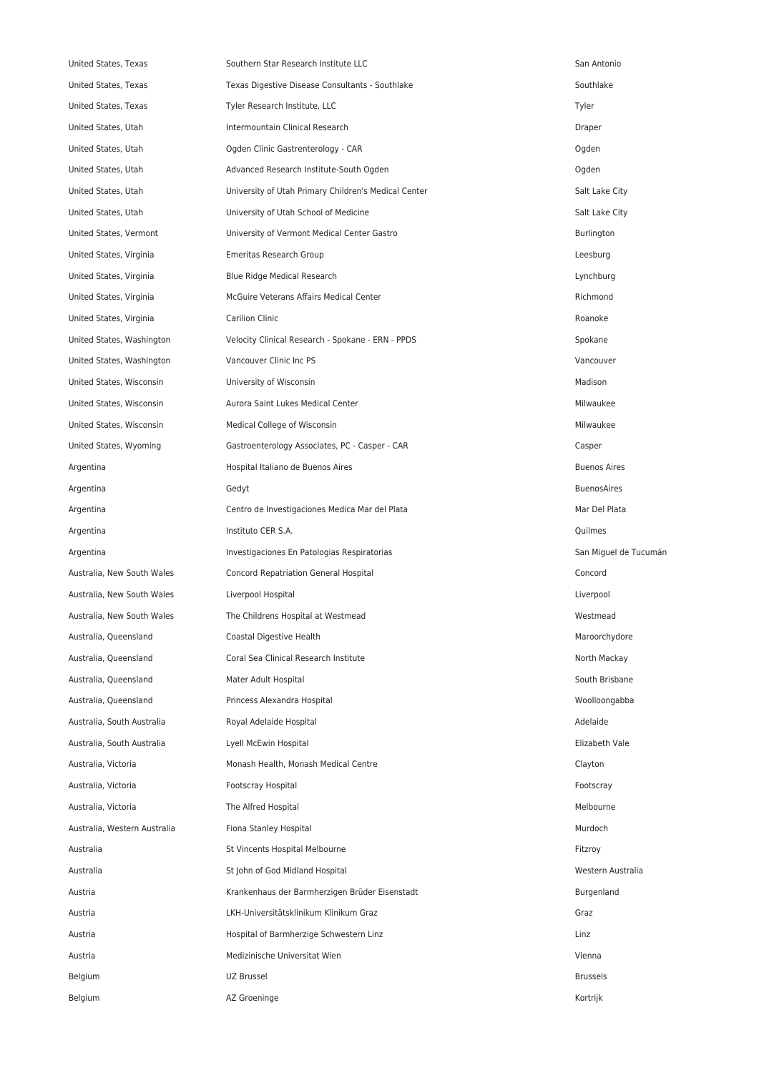| United States, Texas         | Southern Star Research Institute LLC                 | San Antonio           |
|------------------------------|------------------------------------------------------|-----------------------|
| United States, Texas         | Texas Digestive Disease Consultants - Southlake      | Southlake             |
| United States, Texas         | Tyler Research Institute, LLC                        | Tyler                 |
| United States, Utah          | Intermountain Clinical Research                      | Draper                |
| United States, Utah          | Ogden Clinic Gastrenterology - CAR                   | Ogden                 |
| United States, Utah          | Advanced Research Institute-South Ogden              | Ogden                 |
| United States, Utah          | University of Utah Primary Children's Medical Center | Salt Lake City        |
| United States, Utah          | University of Utah School of Medicine                | Salt Lake City        |
| United States, Vermont       | University of Vermont Medical Center Gastro          | Burlington            |
| United States, Virginia      | Emeritas Research Group                              | Leesburg              |
| United States, Virginia      | Blue Ridge Medical Research                          | Lynchburg             |
| United States, Virginia      | McGuire Veterans Affairs Medical Center              | Richmond              |
| United States, Virginia      | Carilion Clinic                                      | Roanoke               |
| United States, Washington    | Velocity Clinical Research - Spokane - ERN - PPDS    | Spokane               |
| United States, Washington    | Vancouver Clinic Inc PS                              | Vancouver             |
| United States, Wisconsin     | University of Wisconsin                              | Madison               |
| United States, Wisconsin     | Aurora Saint Lukes Medical Center                    | Milwaukee             |
| United States, Wisconsin     | Medical College of Wisconsin                         | Milwaukee             |
| United States, Wyoming       | Gastroenterology Associates, PC - Casper - CAR       | Casper                |
| Argentina                    | Hospital Italiano de Buenos Aires                    | <b>Buenos Aires</b>   |
| Argentina                    | Gedyt                                                | <b>BuenosAires</b>    |
| Argentina                    | Centro de Investigaciones Medica Mar del Plata       | Mar Del Plata         |
| Argentina                    | Instituto CER S.A.                                   | Quilmes               |
| Argentina                    | Investigaciones En Patologias Respiratorias          | San Miguel de Tucumár |
| Australia, New South Wales   | Concord Repatriation General Hospital                | Concord               |
| Australia, New South Wales   | Liverpool Hospital                                   | Liverpool             |
| Australia, New South Wales   | The Childrens Hospital at Westmead                   | Westmead              |
| Australia, Queensland        | Coastal Digestive Health                             | Maroorchydore         |
| Australia, Queensland        | Coral Sea Clinical Research Institute                | North Mackay          |
| Australia, Queensland        | Mater Adult Hospital                                 | South Brisbane        |
| Australia, Queensland        | Princess Alexandra Hospital                          | Woolloongabba         |
| Australia, South Australia   | Royal Adelaide Hospital                              | Adelaide              |
| Australia, South Australia   | Lyell McEwin Hospital                                | Elizabeth Vale        |
| Australia, Victoria          | Monash Health, Monash Medical Centre                 | Clayton               |
| Australia, Victoria          | Footscray Hospital                                   | Footscray             |
| Australia, Victoria          | The Alfred Hospital                                  | Melbourne             |
| Australia, Western Australia | Fiona Stanley Hospital                               | Murdoch               |
| Australia                    | St Vincents Hospital Melbourne                       | Fitzroy               |
| Australia                    | St John of God Midland Hospital                      | Western Australia     |
| Austria                      | Krankenhaus der Barmherzigen Brüder Eisenstadt       | Burgenland            |
| Austria                      | LKH-Universitätsklinikum Klinikum Graz               | Graz                  |
| Austria                      | Hospital of Barmherzige Schwestern Linz              | Linz                  |
| Austria                      | Medizinische Universitat Wien                        | Vienna                |
| Belgium                      | UZ Brussel                                           | Brussels              |
| Belgium                      | AZ Groeninge                                         | Kortrijk              |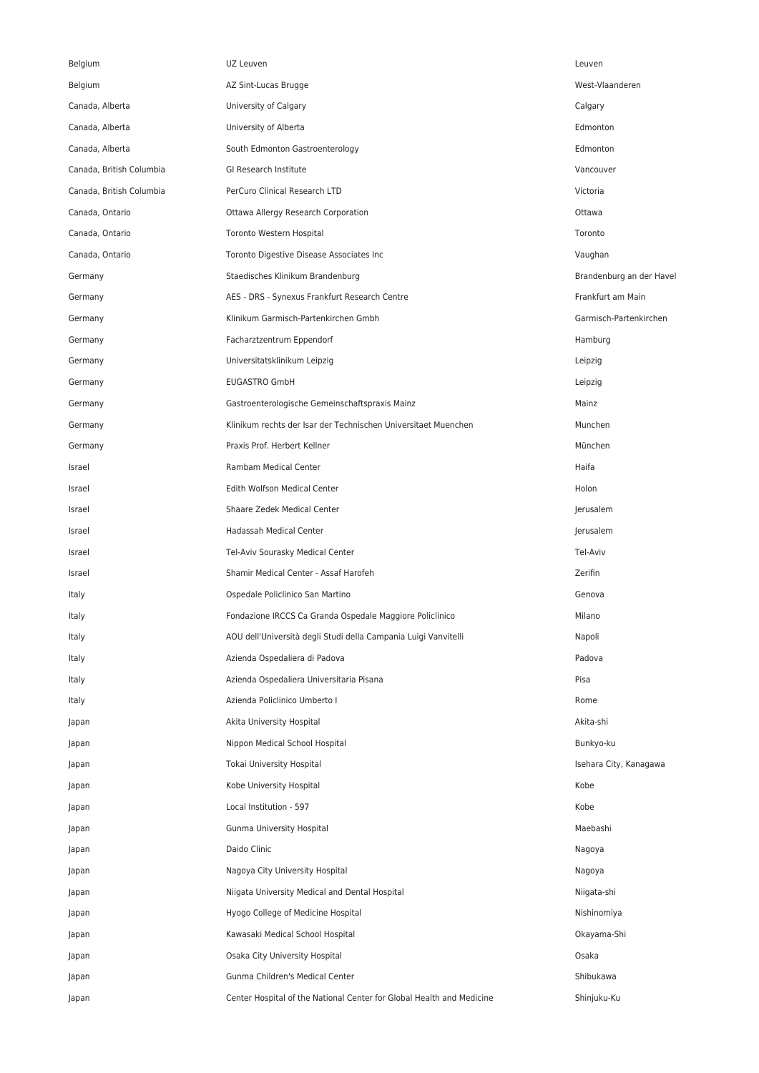| Belgium                  | UZ Leuven                                                             | Leuven                   |
|--------------------------|-----------------------------------------------------------------------|--------------------------|
| Belgium                  | AZ Sint-Lucas Brugge                                                  | West-Vlaanderen          |
| Canada, Alberta          | University of Calgary                                                 | Calgary                  |
| Canada, Alberta          | University of Alberta                                                 | Edmonton                 |
| Canada, Alberta          | South Edmonton Gastroenterology                                       | Edmonton                 |
| Canada, British Columbia | GI Research Institute                                                 | Vancouver                |
| Canada, British Columbia | PerCuro Clinical Research LTD                                         | Victoria                 |
| Canada, Ontario          | Ottawa Allergy Research Corporation                                   | Ottawa                   |
| Canada, Ontario          | Toronto Western Hospital                                              | Toronto                  |
| Canada, Ontario          | Toronto Digestive Disease Associates Inc                              | Vaughan                  |
| Germany                  | Staedisches Klinikum Brandenburg                                      | Brandenburg an der Havel |
| Germany                  | AES - DRS - Synexus Frankfurt Research Centre                         | Frankfurt am Main        |
| Germany                  | Klinikum Garmisch-Partenkirchen Gmbh                                  | Garmisch-Partenkirchen   |
| Germany                  | Facharztzentrum Eppendorf                                             | Hamburg                  |
| Germany                  | Universitatsklinikum Leipzig                                          | Leipzig                  |
| Germany                  | <b>EUGASTRO GmbH</b>                                                  | Leipzig                  |
| Germany                  | Gastroenterologische Gemeinschaftspraxis Mainz                        | Mainz                    |
| Germany                  | Klinikum rechts der Isar der Technischen Universitaet Muenchen        | Munchen                  |
| Germany                  | Praxis Prof. Herbert Kellner                                          | München                  |
| Israel                   | Rambam Medical Center                                                 | Haifa                    |
| Israel                   | Edith Wolfson Medical Center                                          | Holon                    |
| Israel                   | Shaare Zedek Medical Center                                           | Jerusalem                |
| Israel                   | Hadassah Medical Center                                               | Jerusalem                |
| Israel                   | Tel-Aviv Sourasky Medical Center                                      | Tel-Aviv                 |
| Israel                   | Shamir Medical Center - Assaf Harofeh                                 | Zerifin                  |
| Italy                    | Ospedale Policlinico San Martino                                      | Genova                   |
| Italy                    | Fondazione IRCCS Ca Granda Ospedale Maggiore Policlinico              | Milano                   |
| Italy                    | AOU dell'Università degli Studi della Campania Luigi Vanvitelli       | Napoli                   |
| Italy                    | Azienda Ospedaliera di Padova                                         | Padova                   |
| Italy                    | Azienda Ospedaliera Universitaria Pisana                              | Pisa                     |
| Italy                    | Azienda Policlinico Umberto I                                         | Rome                     |
| Japan                    | Akita University Hospital                                             | Akita-shi                |
| Japan                    | Nippon Medical School Hospital                                        | Bunkyo-ku                |
| Japan                    | Tokai University Hospital                                             | Isehara City, Kanagawa   |
| Japan                    | Kobe University Hospital                                              | Kobe                     |
| Japan                    | Local Institution - 597                                               | Kobe                     |
| Japan                    | Gunma University Hospital                                             | Maebashi                 |
| Japan                    | Daido Clinic                                                          | Nagoya                   |
| Japan                    | Nagoya City University Hospital                                       | Nagoya                   |
| Japan                    | Niigata University Medical and Dental Hospital                        | Niigata-shi              |
| Japan                    | Hyogo College of Medicine Hospital                                    | Nishinomiya              |
| Japan                    | Kawasaki Medical School Hospital                                      | Okayama-Shi              |
| Japan                    | Osaka City University Hospital                                        | Osaka                    |
| Japan                    | Gunma Children's Medical Center                                       | Shibukawa                |
| Japan                    | Center Hospital of the National Center for Global Health and Medicine | Shinjuku-Ku              |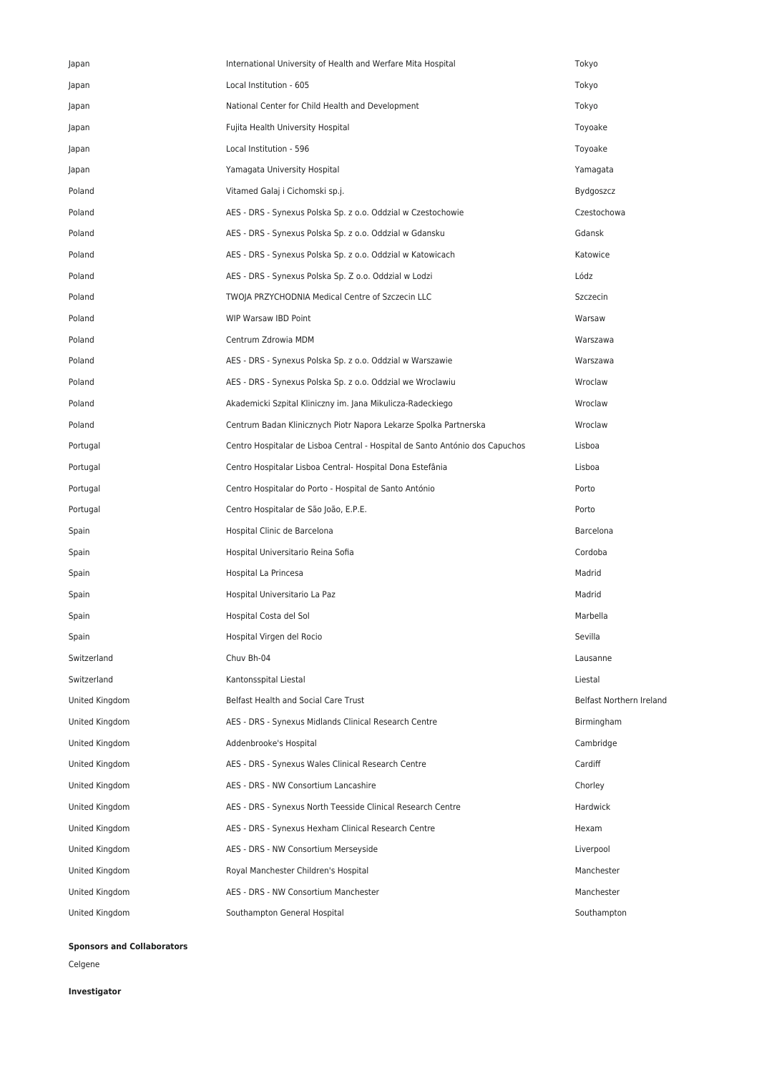| Japan          | International University of Health and Werfare Mita Hospital                 | Tokyo                    |
|----------------|------------------------------------------------------------------------------|--------------------------|
| Japan          | Local Institution - 605                                                      | Tokyo                    |
| Japan          | National Center for Child Health and Development                             | Tokyo                    |
| Japan          | Fujita Health University Hospital                                            | Toyoake                  |
| Japan          | Local Institution - 596                                                      | Toyoake                  |
| Japan          | Yamagata University Hospital                                                 | Yamagata                 |
| Poland         | Vitamed Galaj i Cichomski sp.j.                                              | Bydgoszcz                |
| Poland         | AES - DRS - Synexus Polska Sp. z o.o. Oddział w Czestochowie                 | Czestochowa              |
| Poland         | AES - DRS - Synexus Polska Sp. z o.o. Oddział w Gdansku                      | Gdansk                   |
| Poland         | AES - DRS - Synexus Polska Sp. z o.o. Oddział w Katowicach                   | Katowice                 |
| Poland         | AES - DRS - Synexus Polska Sp. Z o.o. Oddział w Lodzi                        | Lódz                     |
| Poland         | TWOJA PRZYCHODNIA Medical Centre of Szczecin LLC                             | Szczecin                 |
| Poland         | WIP Warsaw IBD Point                                                         | Warsaw                   |
| Poland         | Centrum Zdrowia MDM                                                          | Warszawa                 |
| Poland         | AES - DRS - Synexus Polska Sp. z o.o. Oddział w Warszawie                    | Warszawa                 |
| Poland         | AES - DRS - Synexus Polska Sp. z o.o. Oddział we Wrocławiu                   | Wroclaw                  |
| Poland         | Akademicki Szpital Kliniczny im. Jana Mikulicza-Radeckiego                   | Wroclaw                  |
| Poland         | Centrum Badan Klinicznych Piotr Napora Lekarze Spolka Partnerska             | Wroclaw                  |
| Portugal       | Centro Hospitalar de Lisboa Central - Hospital de Santo António dos Capuchos | Lisboa                   |
| Portugal       | Centro Hospitalar Lisboa Central- Hospital Dona Estefânia                    | Lisboa                   |
| Portugal       | Centro Hospitalar do Porto - Hospital de Santo António                       | Porto                    |
| Portugal       | Centro Hospitalar de São João, E.P.E.                                        | Porto                    |
| Spain          | Hospital Clinic de Barcelona                                                 | Barcelona                |
| Spain          | Hospital Universitario Reina Sofia                                           | Cordoba                  |
| Spain          | Hospital La Princesa                                                         | Madrid                   |
| Spain          | Hospital Universitario La Paz                                                | Madrid                   |
| Spain          | Hospital Costa del Sol                                                       | Marbella                 |
| Spain          | Hospital Virgen del Rocio                                                    | Sevilla                  |
| Switzerland    | Chuv Bh-04                                                                   | Lausanne                 |
| Switzerland    | Kantonsspital Liestal                                                        | Liestal                  |
| United Kingdom | Belfast Health and Social Care Trust                                         | Belfast Northern Ireland |
| United Kingdom | AES - DRS - Synexus Midlands Clinical Research Centre                        | Birmingham               |
| United Kingdom | Addenbrooke's Hospital                                                       | Cambridge                |
| United Kingdom | AES - DRS - Synexus Wales Clinical Research Centre                           | Cardiff                  |
| United Kingdom | AES - DRS - NW Consortium Lancashire                                         | Chorley                  |
| United Kingdom | AES - DRS - Synexus North Teesside Clinical Research Centre                  | Hardwick                 |
| United Kingdom | AES - DRS - Synexus Hexham Clinical Research Centre                          | Hexam                    |
| United Kingdom | AES - DRS - NW Consortium Merseyside                                         | Liverpool                |
| United Kingdom | Royal Manchester Children's Hospital                                         | Manchester               |
| United Kingdom | AES - DRS - NW Consortium Manchester                                         | Manchester               |
| United Kingdom | Southampton General Hospital                                                 | Southampton              |

**Sponsors and Collaborators**

Celgene

**Investigator**